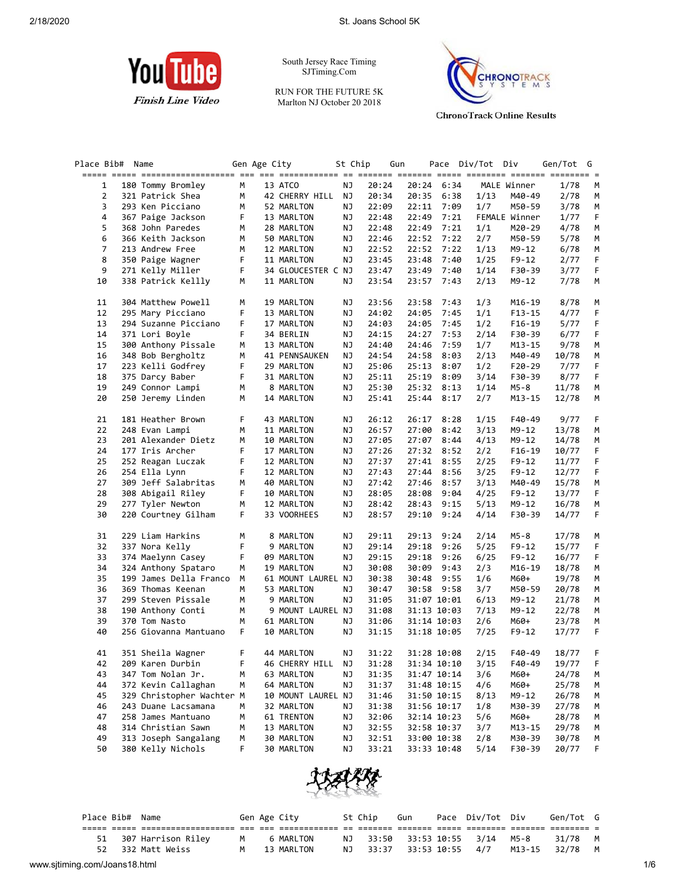

South Jersey Race Timing SJTiming.Com

RUN FOR THE FUTURE 5K Marlton NJ October 20 2018



**ChronoTrack Online Results** 

| Place Bib#     | Name                      |    | Gen Age City |                    | St Chip |       | Gun   |             | Pace Div/Tot Div |               | Gen/Tot G |    |
|----------------|---------------------------|----|--------------|--------------------|---------|-------|-------|-------------|------------------|---------------|-----------|----|
| 1              | 180 Tommy Bromley         | М  |              | 13 ATCO            | ΝJ      | 20:24 | 20:24 | 6:34        |                  | MALE Winner   | 1/78      | М  |
| 2              | 321 Patrick Shea          | М  |              | 42 CHERRY HILL     | ΝJ      | 20:34 | 20:35 | 6:38        | 1/13             | M40-49        | 2/78      | M  |
| 3              | 293 Ken Picciano          | м  |              | 52 MARLTON         | ΝJ      | 22:09 | 22:11 | 7:09        | 1/7              | M50-59        | 3/78      | M  |
| 4              | 367 Paige Jackson         | F  |              | 13 MARLTON         | ΝJ      | 22:48 | 22:49 | 7:21        |                  | FEMALE Winner | 1/77      | F  |
| 5              | 368 John Paredes          | М  |              | 28 MARLTON         | ΝJ      | 22:48 | 22:49 | 7:21        | 1/1              | M20-29        | 4/78      | М  |
| 6              | 366 Keith Jackson         | м  |              | 50 MARLTON         | ΝJ      | 22:46 | 22:52 | 7:22        | 2/7              | M50-59        | 5/78      | M  |
| $\overline{7}$ | 213 Andrew Free           | м  |              | 12 MARLTON         | ΝJ      | 22:52 | 22:52 | 7:22        | 1/13             | M9-12         | 6/78      | М  |
| 8              | 350 Paige Wagner          | F  |              | 11 MARLTON         | ΝJ      | 23:45 | 23:48 | 7:40        | 1/25             | $F9-12$       | 2/77      | F  |
| 9              | 271 Kelly Miller          | F  |              | 34 GLOUCESTER C NJ |         | 23:47 | 23:49 | 7:40        | 1/14             | F30-39        | 3/77      | F  |
| 10             | 338 Patrick Kellly        | М  |              | 11 MARLTON         | ΝJ      | 23:54 | 23:57 | 7:43        | 2/13             | $M9 - 12$     | 7/78      | М  |
| 11             | 304 Matthew Powell        | м  |              | 19 MARLTON         | ΝJ      | 23:56 | 23:58 | 7:43        | 1/3              | M16-19        | 8/78      | M  |
| 12             | 295 Mary Picciano         | F  |              | 13 MARLTON         | ΝJ      | 24:02 | 24:05 | 7:45        | 1/1              | $F13 - 15$    | 4/77      | F  |
| 13             | 294 Suzanne Picciano      | F  |              | 17 MARLTON         | ΝJ      | 24:03 | 24:05 | 7:45        | 1/2              | $F16-19$      | 5/77      | F  |
| 14             | 371 Lori Boyle            | F  |              | 34 BERLIN          | ΝJ      | 24:15 | 24:27 | 7:53        | 2/14             | F30-39        | 6/77      | F  |
| 15             | 300 Anthony Pissale       | м  |              | 13 MARLTON         | ΝJ      | 24:40 | 24:46 | 7:59        | 1/7              | M13-15        | 9/78      | М  |
| 16             | 348 Bob Bergholtz         | м  |              | 41 PENNSAUKEN      | ΝJ      | 24:54 | 24:58 | 8:03        | 2/13             | M40-49        | 10/78     | М  |
| 17             | 223 Kelli Godfrey         | F  |              | 29 MARLTON         | ΝJ      | 25:06 | 25:13 | 8:07        | 1/2              | F20-29        | 7/77      | F  |
| 18             | 375 Darcy Baber           | F  |              | 31 MARLTON         | ΝJ      | 25:11 | 25:19 | 8:09        | 3/14             | F30-39        | 8/77      | F  |
| 19             | 249 Connor Lampi          | М  |              | 8 MARLTON          | ΝJ      | 25:30 | 25:32 | 8:13        | 1/14             | M5-8          | 11/78     | М  |
| 20             | 250 Jeremy Linden         | М  |              | 14 MARLTON         | ΝJ      | 25:41 | 25:44 | 8:17        | 2/7              | M13-15        | 12/78     | М  |
| 21             | 181 Heather Brown         | F. |              | 43 MARLTON         | ΝJ      | 26:12 | 26:17 | 8:28        | 1/15             | F40-49        | 9/77      | F  |
| 22             | 248 Evan Lampi            | м  |              | 11 MARLTON         | ΝJ      | 26:57 | 27:00 | 8:42        | 3/13             | M9-12         | 13/78     | М  |
| 23             | 201 Alexander Dietz       | м  |              | 10 MARLTON         | ΝJ      | 27:05 | 27:07 | 8:44        | 4/13             | M9-12         | 14/78     | М  |
| 24             | 177 Iris Archer           | F  |              | 17 MARLTON         | ΝJ      | 27:26 | 27:32 | 8:52        | 2/2              | $F16-19$      | 10/77     | F  |
| 25             | 252 Reagan Luczak         | F  |              | 12 MARLTON         | ΝJ      | 27:37 | 27:41 | 8:55        | 2/25             | $F9-12$       | 11/77     | F  |
| 26             | 254 Ella Lynn             | F  |              | 12 MARLTON         | ΝJ      | 27:43 | 27:44 | 8:56        | 3/25             | F9-12         | 12/77     | F  |
| 27             | 309 Jeff Salabritas       | м  |              | 40 MARLTON         | ΝJ      | 27:42 | 27:46 | 8:57        | 3/13             | M40-49        | 15/78     | М  |
| 28             | 308 Abigail Riley         | F  |              | 10 MARLTON         | ΝJ      | 28:05 | 28:08 | 9:04        | 4/25             | F9-12         | 13/77     | F  |
| 29             | 277 Tyler Newton          | м  |              | 12 MARLTON         | ΝJ      | 28:42 | 28:43 | 9:15        | 5/13             | M9-12         | 16/78     | М  |
| 30             | 220 Courtney Gilham       | F. |              | 33 VOORHEES        | ΝJ      | 28:57 | 29:10 | 9:24        | 4/14             | F30-39        | 14/77     | F  |
| 31             | 229 Liam Harkins          | м  |              | 8 MARLTON          | ΝJ      | 29:11 | 29:13 | 9:24        | 2/14             | M5-8          | 17/78     | M  |
| 32             | 337 Nora Kelly            | F  |              | 9 MARLTON          | ΝJ      | 29:14 | 29:18 | 9:26        | 5/25             | F9-12         | 15/77     | F  |
| 33             | 374 Maelynn Casey         | F  |              | 09 MARLTON         | ΝJ      | 29:15 | 29:18 | 9:26        | 6/25             | F9-12         | 16/77     | F  |
| 34             | 324 Anthony Spataro       | м  |              | 19 MARLTON         | ΝJ      | 30:08 | 30:09 | 9:43        | 2/3              | M16-19        | 18/78     | М  |
| 35             | 199 James Della Franco    | М  |              | 61 MOUNT LAUREL NJ |         | 30:38 | 30:48 | 9:55        | 1/6              | M60+          | 19/78     | М  |
| 36             | 369 Thomas Keenan         | M  |              | 53 MARLTON         | ΝJ      | 30:47 | 30:58 | 9:58        | 3/7              | M50-59        | 20/78     | м  |
| 37             | 299 Steven Pissale        | М  |              | 9 MARLTON          | ΝJ      | 31:05 |       | 31:07 10:01 | 6/13             | M9-12         | 21/78     | м  |
| 38             | 190 Anthony Conti         | М  |              | 9 MOUNT LAUREL NJ  |         | 31:08 |       | 31:13 10:03 | 7/13             | M9-12         | 22/78     | M  |
| 39             | 370 Tom Nasto             | М  |              | 61 MARLTON         | ΝJ      | 31:06 |       | 31:14 10:03 | 2/6              | M60+          | 23/78     | M  |
| 40             | 256 Giovanna Mantuano     | F. |              | 10 MARLTON         | ΝJ      | 31:15 |       | 31:18 10:05 | 7/25             | F9-12         | 17/77     | F  |
| 41             | 351 Sheila Wagner         | F  |              | 44 MARLTON         | ΝJ      | 31:22 |       | 31:28 10:08 | 2/15             | F40-49        | 18/77     | F. |
| 42             | 209 Karen Durbin          | F  |              | 46 CHERRY HILL     | ΝJ      | 31:28 |       | 31:34 10:10 | 3/15             | F40-49        | 19/77     | F  |
| 43             | 347 Tom Nolan Jr.         | м  |              | 63 MARLTON         | NJ      | 31:35 |       | 31:47 10:14 | 3/6              | M60+          | 24/78     | M  |
| 44             | 372 Kevin Callaghan       | м  |              | 64 MARLTON         | ΝJ      | 31:37 |       | 31:48 10:15 | 4/6              | M60+          | 25/78     | M  |
| 45             | 329 Christopher Wachter M |    |              | 10 MOUNT LAUREL NJ |         | 31:46 |       | 31:50 10:15 | 8/13             | M9-12         | 26/78     | M  |
| 46             | 243 Duane Lacsamana       | М  |              | 32 MARLTON         | ΝJ      | 31:38 |       | 31:56 10:17 | 1/8              | M30-39        | 27/78     | M  |
| 47             | 258 James Mantuano        | м  |              | 61 TRENTON         | ΝJ      | 32:06 |       | 32:14 10:23 | 5/6              | M60+          | 28/78     | M  |
| 48             | 314 Christian Sawn        | м  |              | 13 MARLTON         | ΝJ      | 32:55 |       | 32:58 10:37 | 3/7              | M13-15        | 29/78     | M  |
| 49             | 313 Joseph Sangalang      | М  |              | 30 MARLTON         | ΝJ      | 32:51 |       | 33:00 10:38 | 2/8              | M30-39        | 30/78     | M  |
| 50             | 380 Kelly Nichols         | F  |              | 30 MARLTON         | ΝJ      | 33:21 |       | 33:33 10:48 | 5/14             | F30-39        | 20/77     | F  |



|                               |    | Place Bib# Name |                       |          | Gen Age City | St Chip | Gun | Pace Div/Tot Div                        | Gen/Tot G |     |
|-------------------------------|----|-----------------|-----------------------|----------|--------------|---------|-----|-----------------------------------------|-----------|-----|
|                               |    |                 |                       |          |              |         |     |                                         |           |     |
|                               |    |                 | 51 307 Harrison Riley | <b>M</b> | 6 MARLTON    |         |     | NJ 33:50 33:53 10:55 3/14 M5-8          | 31/78 M   |     |
|                               | 52 |                 | 332 Matt Weiss        | M        | 13 MARLTON   |         |     | NJ 33:37 33:53 10:55 4/7 M13-15 32/78 M |           |     |
| www.sjtiming.com/Joans18.html |    |                 |                       |          |              |         |     |                                         |           | 1/6 |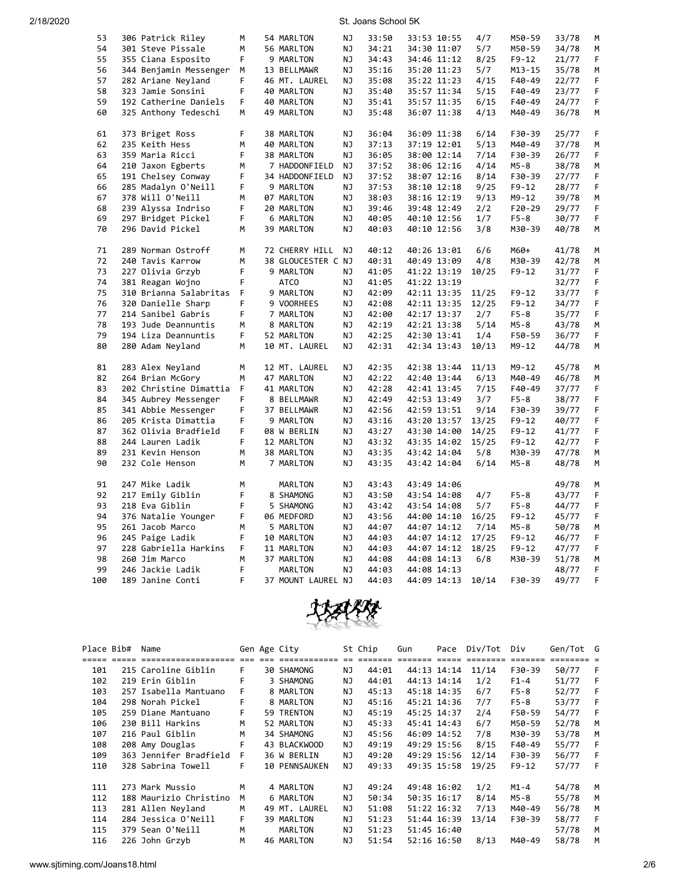| 53  | 306 Patrick Riley      | M  | 54 MARLTON         | ΝJ        | 33:50 | 33:53 10:55 | 4/7   | M50-59    | 33/78 | М  |
|-----|------------------------|----|--------------------|-----------|-------|-------------|-------|-----------|-------|----|
| 54  | 301 Steve Pissale      | M  | 56 MARLTON         | ΝJ        | 34:21 | 34:30 11:07 | 5/7   | M50-59    | 34/78 | M  |
| 55  | 355 Ciana Esposito     | F  | 9 MARLTON          | NJ        | 34:43 | 34:46 11:12 | 8/25  | F9-12     | 21/77 | F  |
| 56  | 344 Benjamin Messenger | М  | 13 BELLMAWR        | ΝJ        | 35:16 | 35:20 11:23 | 5/7   | M13-15    | 35/78 | М  |
| 57  | 282 Ariane Neyland     | F  | 46 MT. LAUREL      | NJ        | 35:08 | 35:22 11:23 | 4/15  | F40-49    | 22/77 | F  |
| 58  | 323 Jamie Sonsini      | F  | 40 MARLTON         | ΝJ        | 35:40 | 35:57 11:34 | 5/15  | F40-49    | 23/77 | F  |
| 59  | 192 Catherine Daniels  | F. | 40 MARLTON         | ΝJ        | 35:41 | 35:57 11:35 | 6/15  | F40-49    | 24/77 | F  |
| 60  | 325 Anthony Tedeschi   | М  | 49 MARLTON         | ΝJ        | 35:48 | 36:07 11:38 | 4/13  | M40-49    | 36/78 | М  |
| 61  | 373 Briget Ross        | F  | 38 MARLTON         | NJ        | 36:04 | 36:09 11:38 | 6/14  | F30-39    | 25/77 | F. |
| 62  | 235 Keith Hess         | M  | 40 MARLTON         | NJ        | 37:13 | 37:19 12:01 | 5/13  | M40-49    | 37/78 | M  |
| 63  | 359 Maria Ricci        | F  | 38 MARLTON         | NJ        | 36:05 | 38:00 12:14 | 7/14  | F30-39    | 26/77 | F  |
| 64  | 210 Jaxon Egberts      | М  | 7 HADDONFIELD      | ΝJ        | 37:52 | 38:06 12:16 | 4/14  | M5-8      | 38/78 | М  |
| 65  | 191 Chelsey Conway     | F  | 34 HADDONFIELD     | NJ        | 37:52 | 38:07 12:16 | 8/14  | F30-39    | 27/77 | F  |
| 66  | 285 Madalyn O'Neill    | F  | 9 MARLTON          | ΝJ        | 37:53 | 38:10 12:18 | 9/25  | F9-12     | 28/77 | F  |
| 67  | 378 Will O'Neill       | M  | 07 MARLTON         | ΝJ        | 38:03 | 38:16 12:19 | 9/13  | $M9 - 12$ | 39/78 | M  |
| 68  | 239 Alyssa Indriso     | F  | 20 MARLTON         | NJ        | 39:46 | 39:48 12:49 | 2/2   | F20-29    | 29/77 | F  |
| 69  | 297 Bridget Pickel     | F  | 6 MARLTON          | ΝJ        | 40:05 | 40:10 12:56 | 1/7   | $F5-8$    | 30/77 | F  |
| 70  | 296 David Pickel       | M  | 39 MARLTON         | NJ        | 40:03 | 40:10 12:56 | 3/8   | M30-39    | 40/78 | M  |
| 71  | 289 Norman Ostroff     | М  | 72 CHERRY HILL     | NJ.       | 40:12 | 40:26 13:01 | 6/6   | M60+      | 41/78 | М  |
| 72  | 240 Tavis Karrow       | M  | 38 GLOUCESTER C NJ |           | 40:31 | 40:49 13:09 | 4/8   | M30-39    | 42/78 | M  |
| 73  | 227 Olivia Grzyb       | F  | 9 MARLTON          | NJ        | 41:05 | 41:22 13:19 | 10/25 | $F9 - 12$ | 31/77 | F  |
| 74  | 381 Reagan Wojno       | F  | ATCO               | ΝJ        | 41:05 | 41:22 13:19 |       |           | 32/77 | F  |
| 75  | 310 Brianna Salabritas | F  | 9 MARLTON          | ΝJ        | 42:09 | 42:11 13:35 | 11/25 | $F9 - 12$ | 33/77 | F  |
| 76  | 320 Danielle Sharp     | F  | 9 VOORHEES         | NJ        | 42:08 | 42:11 13:35 | 12/25 | F9-12     | 34/77 | F  |
| 77  | 214 Sanibel Gabris     | F  | 7 MARLTON          | NJ        | 42:00 | 42:17 13:37 | 2/7   | $F5-8$    | 35/77 | F  |
| 78  | 193 Jude Deannuntis    | М  | 8 MARLTON          | ΝJ        | 42:19 | 42:21 13:38 | 5/14  | $M5-8$    | 43/78 | M  |
| 79  | 194 Liza Deannuntis    | F  | 52 MARLTON         | ΝJ        | 42:25 | 42:30 13:41 | 1/4   | F50-59    | 36/77 | F  |
| 80  | 280 Adam Neyland       | M  | 10 MT. LAUREL      | NJ        | 42:31 | 42:34 13:43 | 10/13 | M9-12     | 44/78 | M  |
| 81  | 283 Alex Neyland       | M  | 12 MT. LAUREL      | ΝJ        | 42:35 | 42:38 13:44 | 11/13 | M9-12     | 45/78 | М  |
| 82  | 264 Brian McGory       | M  | 47 MARLTON         | ΝJ        | 42:22 | 42:40 13:44 | 6/13  | M40-49    | 46/78 | M  |
| 83  | 202 Christine Dimattia | F  | 41 MARLTON         | ΝJ        | 42:28 | 42:41 13:45 | 7/15  | F40-49    | 37/77 | F  |
| 84  | 345 Aubrey Messenger   | F. | 8 BELLMAWR         | NJ        | 42:49 | 42:53 13:49 | 3/7   | F5-8      | 38/77 | F  |
| 85  | 341 Abbie Messenger    | F  | 37 BELLMAWR        | NJ        | 42:56 | 42:59 13:51 | 9/14  | F30-39    | 39/77 | F  |
| 86  | 205 Krista Dimattia    | F  | 9 MARLTON          | ΝJ        | 43:16 | 43:20 13:57 | 13/25 | $F9 - 12$ | 40/77 | F  |
| 87  | 362 Olivia Bradfield   | F  | 08 W BERLIN        | NJ        | 43:27 | 43:30 14:00 | 14/25 | $F9 - 12$ | 41/77 | F  |
| 88  | 244 Lauren Ladik       | F  | 12 MARLTON         | NJ        | 43:32 | 43:35 14:02 | 15/25 | $F9 - 12$ | 42/77 | F  |
| 89  | 231 Kevin Henson       | М  | 38 MARLTON         | NJ        | 43:35 | 43:42 14:04 | 5/8   | M30-39    | 47/78 | М  |
| 90  | 232 Cole Henson        | M  | 7 MARLTON          | ΝJ        | 43:35 | 43:42 14:04 | 6/14  | $M5-8$    | 48/78 | M  |
| 91  | 247 Mike Ladik         | M  | MARLTON            | NJ        | 43:43 | 43:49 14:06 |       |           | 49/78 | М  |
| 92  | 217 Emily Giblin       | F  | 8 SHAMONG          | ΝJ        | 43:50 | 43:54 14:08 | 4/7   | $F5-8$    | 43/77 | F  |
| 93  | 218 Eva Giblin         | F  | 5 SHAMONG          | ΝJ        | 43:42 | 43:54 14:08 | 5/7   | $F5-8$    | 44/77 | F  |
| 94  | 376 Natalie Younger    | F  | 06 MEDFORD         | ΝJ        | 43:56 | 44:00 14:10 | 16/25 | F9-12     | 45/77 | F  |
| 95  | 261 Jacob Marco        | M  | 5 MARLTON          | NJ        | 44:07 | 44:07 14:12 | 7/14  | $M5 - 8$  | 50/78 | M  |
| 96  | 245 Paige Ladik        | F  | 10 MARLTON         | NJ        | 44:03 | 44:07 14:12 | 17/25 | $F9 - 12$ | 46/77 | F  |
| 97  | 228 Gabriella Harkins  | F  | 11 MARLTON         | ΝJ        | 44:03 | 44:07 14:12 | 18/25 | F9-12     | 47/77 | F  |
| 98  | 260 Jim Marco          | M  | 37 MARLTON         | NJ        | 44:08 | 44:08 14:13 | 6/8   | M30-39    | 51/78 | M  |
| 99  | 246 Jackie Ladik       | F  | MARLTON            | <b>NJ</b> | 44:03 | 44:08 14:13 |       |           | 48/77 | F  |
| 100 | 189 Janine Conti       | F  | 37 MOUNT LAUREL NJ |           | 44:03 | 44:09 14:13 | 10/14 | F30-39    | 49/77 | F  |



| Place Bib# | Name                   |    | Gen Age City         |     | St Chip | Gun | Pace        | Div/Tot | Div      | Gen/Tot G |   |
|------------|------------------------|----|----------------------|-----|---------|-----|-------------|---------|----------|-----------|---|
|            |                        |    |                      |     |         |     |             |         |          |           |   |
| 101        | 215 Caroline Giblin    | F. | 30 SHAMONG           | ΝJ  | 44:01   |     | 44:13 14:14 | 11/14   | F30-39   | 50/77     | F |
| 102        | 219 Erin Giblin        | F  | 3 SHAMONG            | ΝJ  | 44:01   |     | 44:13 14:14 | 1/2     | $F1-4$   | 51/77     | F |
| 103        | 257 Isabella Mantuano  | F  | 8 MARLTON            | ΝJ  | 45:13   |     | 45:18 14:35 | 6/7     | $F5-8$   | 52/77     | F |
| 104        | 298 Norah Pickel       | F  | 8 MARLTON            | ΝJ  | 45:16   |     | 45:21 14:36 | 7/7     | $F5-8$   | 53/77     | F |
| 105        | 259 Diane Mantuano     | F  | 59 TRENTON           | ΝJ  | 45:19   |     | 45:25 14:37 | 2/4     | F50-59   | 54/77     | F |
| 106        | 230 Bill Harkins       | м  | 52 MARLTON           | ΝJ  | 45:33   |     | 45:41 14:43 | 6/7     | M50-59   | 52/78     | M |
| 107        | 216 Paul Giblin        | M  | 34 SHAMONG           | ΝJ  | 45:56   |     | 46:09 14:52 | 7/8     | M30-39   | 53/78     | M |
| 108        | 208 Amy Douglas        | F  | 43 BLACKWOOD         | ΝJ  | 49:19   |     | 49:29 15:56 | 8/15    | F40-49   | 55/77     | F |
| 109        | 363 Jennifer Bradfield | F  | 36 W BERLIN          | ΝJ  | 49:20   |     | 49:29 15:56 | 12/14   | F30-39   | 56/77     | F |
| 110        | 328 Sabrina Towell     | F  | <b>10 PENNSAUKEN</b> | ΝJ  | 49:33   |     | 49:35 15:58 | 19/25   | $F9-12$  | 57/77     | F |
| 111        | 273 Mark Mussio        | M  | 4 MARLTON            | NJ. | 49:24   |     | 49:48 16:02 | 1/2     | $M1 - 4$ | 54/78     | M |
|            |                        |    |                      |     |         |     |             |         |          |           |   |
| 112        | 188 Maurizio Christino | м  | 6 MARLTON            | NJ  | 50:34   |     | 50:35 16:17 | 8/14    | M5-8     | 55/78     | м |
| 113        | 281 Allen Neyland      | М  | 49 MT. LAUREL        | ΝJ  | 51:08   |     | 51:22 16:32 | 7/13    | M40-49   | 56/78     | M |
| 114        | 284 Jessica O'Neill    | F. | 39 MARLTON           | ΝJ  | 51:23   |     | 51:44 16:39 | 13/14   | F30-39   | 58/77     | F |
| 115        | 379 Sean O'Neill       | M  | <b>MARLTON</b>       | ΝJ  | 51:23   |     | 51:45 16:40 |         |          | 57/78     | M |
| 116        | 226 John Grzyb         | м  | 46 MARLTON           | ΝJ  | 51:54   |     | 52:16 16:50 | 8/13    | M40-49   | 58/78     | м |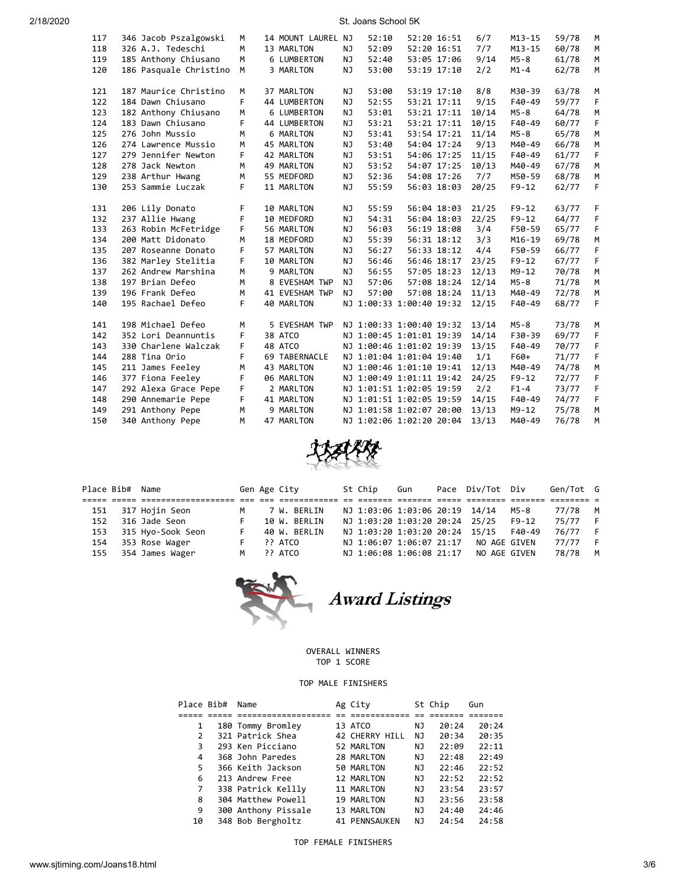| 117 | 346 Jacob Pszalgowski  | M  | 14 MOUNT LAUREL NJ |           | 52:10                    | 52:20 16:51 | 6/7   | $M13 - 15$ | 59/78 | M |
|-----|------------------------|----|--------------------|-----------|--------------------------|-------------|-------|------------|-------|---|
| 118 | 326 A.J. Tedeschi      | M  | 13 MARLTON         | NJ        | 52:09                    | 52:20 16:51 | 7/7   | $M13 - 15$ | 60/78 | M |
| 119 | 185 Anthony Chiusano   | M  | 6 LUMBERTON        | NJ        | 52:40                    | 53:05 17:06 | 9/14  | $M5 - 8$   | 61/78 | M |
| 120 | 186 Pasquale Christino | М  | 3 MARLTON          | NJ        | 53:00                    | 53:19 17:10 | 2/2   | $M1 - 4$   | 62/78 | M |
|     |                        |    |                    |           |                          |             |       |            |       |   |
| 121 | 187 Maurice Christino  | M  | 37 MARLTON         | NJ        | 53:00                    | 53:19 17:10 | 8/8   | M30-39     | 63/78 | М |
| 122 | 184 Dawn Chiusano      | F  | 44 LUMBERTON       | <b>NJ</b> | 52:55                    | 53:21 17:11 | 9/15  | F40-49     | 59/77 | F |
| 123 | 182 Anthony Chiusano   | M  | <b>6 LUMBERTON</b> | NJ        | 53:01                    | 53:21 17:11 | 10/14 | $M5 - 8$   | 64/78 | M |
| 124 | 183 Dawn Chiusano      | F. | 44 LUMBERTON       | NJ        | 53:21                    | 53:21 17:11 | 10/15 | F40-49     | 60/77 | F |
| 125 | 276 John Mussio        | M  | 6 MARLTON          | NJ        | 53:41                    | 53:54 17:21 | 11/14 | $M5-8$     | 65/78 | M |
| 126 | 274 Lawrence Mussio    | M  | 45 MARLTON         | NJ        | 53:40                    | 54:04 17:24 | 9/13  | M40-49     | 66/78 | M |
| 127 | 279 Jennifer Newton    | F  | 42 MARLTON         | NJ        | 53:51                    | 54:06 17:25 | 11/15 | F40-49     | 61/77 | F |
| 128 | 278 Jack Newton        | M  | 49 MARLTON         | <b>NJ</b> | 53:52                    | 54:07 17:25 | 10/13 | M40-49     | 67/78 | M |
| 129 | 238 Arthur Hwang       | M  | 55 MEDFORD         | <b>NJ</b> | 52:36                    | 54:08 17:26 | 7/7   | M50-59     | 68/78 | M |
| 130 | 253 Sammie Luczak      | F  | 11 MARLTON         | <b>NJ</b> | 55:59                    | 56:03 18:03 | 20/25 | $F9 - 12$  | 62/77 | F |
|     |                        |    |                    |           |                          |             |       |            |       |   |
| 131 | 206 Lily Donato        | F  | 10 MARLTON         | NJ        | 55:59                    | 56:04 18:03 | 21/25 | $F9 - 12$  | 63/77 | F |
| 132 | 237 Allie Hwang        | F  | 10 MEDFORD         | NJ        | 54:31                    | 56:04 18:03 | 22/25 | $F9 - 12$  | 64/77 | F |
| 133 | 263 Robin McFetridge   | F  | 56 MARLTON         | NJ        | 56:03                    | 56:19 18:08 | 3/4   | F50-59     | 65/77 | F |
| 134 | 200 Matt Didonato      | М  | 18 MEDFORD         | NJ        | 55:39                    | 56:31 18:12 | 3/3   | $M16 - 19$ | 69/78 | M |
| 135 | 207 Roseanne Donato    | F  | 57 MARLTON         | <b>NJ</b> | 56:27                    | 56:33 18:12 | 4/4   | F50-59     | 66/77 | F |
| 136 | 382 Marley Stelitia    | F  | 10 MARLTON         | NJ        | 56:46                    | 56:46 18:17 | 23/25 | $F9 - 12$  | 67/77 | F |
| 137 | 262 Andrew Marshina    | M  | 9 MARLTON          | <b>NJ</b> | 56:55                    | 57:05 18:23 | 12/13 | $M9 - 12$  | 70/78 | M |
| 138 | 197 Brian Defeo        | M  | 8 EVESHAM TWP      | <b>NJ</b> | 57:06                    | 57:08 18:24 | 12/14 | $M5-8$     | 71/78 | M |
| 139 | 196 Frank Defeo        | M  | 41 EVESHAM TWP     | <b>NJ</b> | 57:00                    | 57:08 18:24 | 11/13 | M40-49     | 72/78 | M |
| 140 | 195 Rachael Defeo      | F. | 40 MARLTON         |           | NJ 1:00:33 1:00:40 19:32 |             | 12/15 | F40-49     | 68/77 | F |
| 141 | 198 Michael Defeo      | М  | 5 EVESHAM TWP      |           | NJ 1:00:33 1:00:40 19:32 |             | 13/14 | $M5-8$     | 73/78 | М |
| 142 | 352 Lori Deannuntis    | F. | 38 ATCO            |           | NJ 1:00:45 1:01:01 19:39 |             | 14/14 | F30-39     | 69/77 |   |
| 143 |                        |    |                    |           |                          |             |       |            |       | F |
|     | 330 Charlene Walczak   | F  | 48 ATCO            |           | NJ 1:00:46 1:01:02 19:39 |             | 13/15 | F40-49     | 70/77 | F |
| 144 | 288 Tina Orio          | F  | 69 TABERNACLE      |           | NJ 1:01:04 1:01:04 19:40 |             | 1/1   | F60+       | 71/77 | F |
| 145 | 211 James Feeley       | М  | 43 MARLTON         |           | NJ 1:00:46 1:01:10 19:41 |             | 12/13 | M40-49     | 74/78 | M |
| 146 | 377 Fiona Feeley       | F  | 06 MARLTON         |           | NJ 1:00:49 1:01:11 19:42 |             | 24/25 | $F9 - 12$  | 72/77 | F |
| 147 | 292 Alexa Grace Pepe   | F  | 2 MARLTON          |           | NJ 1:01:51 1:02:05 19:59 |             | 2/2   | $F1-4$     | 73/77 | F |
| 148 | 290 Annemarie Pepe     | F. | 41 MARLTON         |           | NJ 1:01:51 1:02:05 19:59 |             | 14/15 | F40-49     | 74/77 | F |
| 149 | 291 Anthony Pepe       | м  | 9 MARLTON          |           | NJ 1:01:58 1:02:07 20:00 |             | 13/13 | $M9 - 12$  | 75/78 | M |
| 150 | 340 Anthony Pepe       | M  | 47 MARLTON         |           | NJ 1:02:06 1:02:20 20:04 |             | 13/13 | M40-49     | 76/78 | M |



|     | Place Bib# Name |                   |   | Gen Age City | St Chip | Gun                            | Pace Div/Tot Div |        | Gen/Tot G |   |
|-----|-----------------|-------------------|---|--------------|---------|--------------------------------|------------------|--------|-----------|---|
|     |                 |                   |   |              |         |                                |                  |        |           |   |
| 151 |                 | 317 Hojin Seon    | M | 7 W. BERLIN  |         | NJ 1:03:06 1:03:06 20:19 14/14 |                  | M5-8   | 77/78     | M |
| 152 |                 | 316 Jade Seon     |   | 10 W. BERLIN |         | NJ 1:03:20 1:03:20 20:24 25/25 |                  | F9-12  | 75/77     |   |
| 153 |                 | 315 Hyo-Sook Seon |   | 40 W. BERLIN |         | NJ 1:03:20 1:03:20 20:24 15/15 |                  | F40-49 | 76/77     |   |
| 154 |                 | 353 Rose Wager    |   | ?? ATCO      |         | NJ 1:06:07 1:06:07 21:17       | NO AGE GIVEN     |        | 77/77     |   |
| 155 |                 | 354 James Wager   | м | ?? ATCO      |         | NJ 1:06:08 1:06:08 21:17       | NO AGE GIVEN     |        | 78/78     | M |



Award Listings

## OVERALL WINNERS TOP 1 SCORE

## TOP MALE FINISHERS

| Place Bib#    | Name                | Ag City              |    | St Chip | Gun   |
|---------------|---------------------|----------------------|----|---------|-------|
|               |                     |                      |    |         |       |
| 1             | 180 Tommy Bromley   | 13 ATCO              | ΝJ | 20:24   | 20:24 |
| $\mathcal{P}$ | 321 Patrick Shea    | 42 CHERRY HILL       | NJ | 20:34   | 20:35 |
| 3             | 293 Ken Picciano    | 52 MARLTON           | NJ | 22:09   | 22:11 |
| 4             | 368 John Paredes    | 28 MARLTON           | NJ | 22:48   | 22:49 |
| 5             | 366 Keith Jackson   | 50 MARLTON           | ΝJ | 22:46   | 22:52 |
| 6             | 213 Andrew Free     | 12 MARLTON           | NJ | 22:52   | 22:52 |
| 7             | 338 Patrick Kellly  | 11 MARLTON           | NJ | 23:54   | 23:57 |
| 8             | 304 Matthew Powell  | 19 MARLTON           | NJ | 23:56   | 23:58 |
| 9             | 300 Anthony Pissale | 13 MARLTON           | NJ | 24:40   | 24:46 |
| 10            | 348 Bob Bergholtz   | <b>41 PENNSAUKEN</b> | NJ | 24:54   | 24:58 |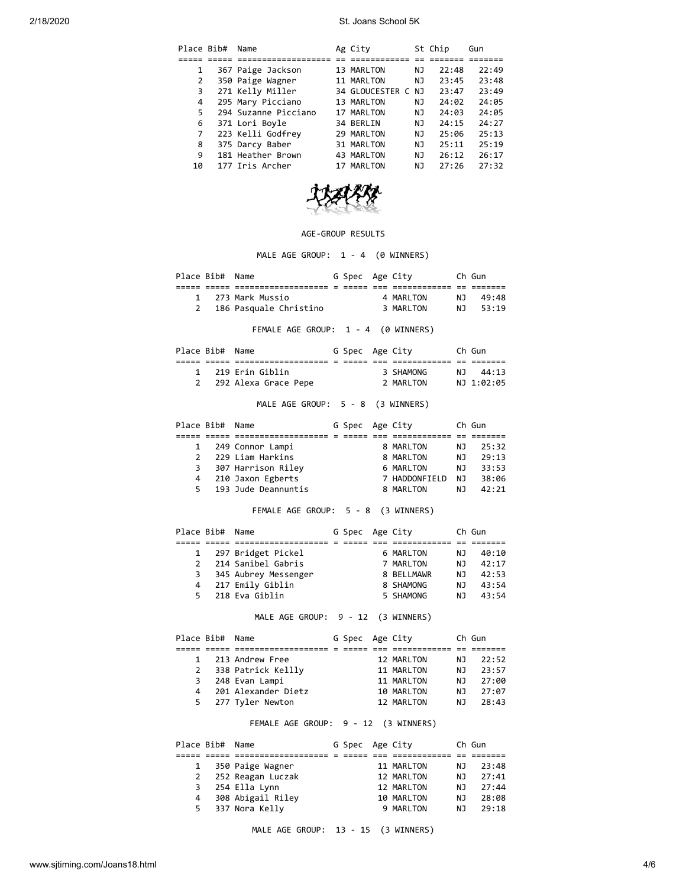| Place Bib# | Name                 | Ag City         |     | St Chip | Gun   |
|------------|----------------------|-----------------|-----|---------|-------|
|            |                      |                 |     |         |       |
| 1          | 367 Paige Jackson    | 13 MARLTON      | ΝJ  | 22:48   | 22:49 |
| 2          | 350 Paige Wagner     | 11 MARLTON      | NJ  | 23:45   | 23:48 |
| 3          | 271 Kelly Miller     | 34 GLOUCESTER C | NJ  | 23:47   | 23:49 |
| 4          | 295 Mary Picciano    | 13 MARLTON      | ΝJ  | 24:02   | 24:05 |
| 5.         | 294 Suzanne Picciano | 17 MARLTON      | ΝJ  | 24:03   | 24:05 |
| 6          | 371 Lori Boyle       | 34 BERLIN       | NJ  | 24:15   | 24:27 |
| 7          | 223 Kelli Godfrey    | 29 MARLTON      | ΝJ  | 25:06   | 25:13 |
| 8          | 375 Darcy Baber      | 31 MARLTON      | NJ. | 25:11   | 25:19 |
| 9          | 181 Heather Brown    | 43 MARLTON      | NJ. | 26:12   | 26:17 |
| 10         | 177 Iris Archer      | 17 MARLTON      | NJ  | 27:26   | 27:32 |



## AGE-GROUP RESULTS

MALE AGE GROUP: 1 - 4 (0 WINNERS)

| Place Bib# Name |                        | G Spec Age City |           |     | Ch Gun |
|-----------------|------------------------|-----------------|-----------|-----|--------|
|                 |                        |                 |           |     |        |
|                 | 1 273 Mark Mussio      |                 | 4 MARLTON | ΝJ  | 49:48  |
|                 | 186 Pasquale Christino |                 | 3 MARLTON | N J | 53:19  |
|                 |                        |                 |           |     |        |

FEMALE AGE GROUP: 1 - 4 (0 WINNERS)

|  | Place Bib# Name |                        | G Spec Age City |           | Ch Gun     |
|--|-----------------|------------------------|-----------------|-----------|------------|
|  |                 |                        |                 |           |            |
|  |                 | 1 219 Erin Giblin      |                 | 3 SHAMONG | NT 44:13   |
|  |                 | 2 292 Alexa Grace Pepe |                 | 2 MARITON | NJ 1:02:05 |

MALE AGE GROUP: 5 - 8 (3 WINNERS)

| Place Bib# Name |                     | G Spec Age City |               |     | Ch Gun |
|-----------------|---------------------|-----------------|---------------|-----|--------|
|                 |                     |                 |               |     |        |
| $\mathbf{1}$    | 249 Connor Lampi    |                 | 8 MARLTON     | NJ. | 25:32  |
| 2               | 229 Liam Harkins    |                 | 8 MARLTON     | ΝJ  | 29:13  |
| 3               | 307 Harrison Riley  |                 | 6 MARLTON     | NJ. | 33:53  |
| 4               | 210 Jaxon Egberts   |                 | 7 HADDONFIELD | NJ. | 38:06  |
| 5.              | 193 Jude Deannuntis |                 | 8 MARLTON     | ΝJ  | 42:21  |

FEMALE AGE GROUP: 5 - 8 (3 WINNERS)

|               | Place Bib# Name |                      | G Spec Age City |            |    | Ch Gun |
|---------------|-----------------|----------------------|-----------------|------------|----|--------|
|               |                 |                      |                 |            |    |        |
|               |                 | 1 297 Bridget Pickel |                 | 6 MARLTON  | ΝJ | 40:10  |
| $\mathcal{P}$ |                 | 214 Sanibel Gabris   |                 | 7 MARLTON  | ΝJ | 42:17  |
| 3             |                 | 345 Aubrey Messenger |                 | 8 BELLMAWR | ΝJ | 42:53  |
| 4             |                 | 217 Emily Giblin     |                 | 8 SHAMONG  | ΝJ | 43:54  |
| 5.            |                 | 218 Eva Giblin       |                 | 5 SHAMONG  | N. | 43:54  |

MALE AGE GROUP: 9 - 12 (3 WINNERS)

| Place Bib# Name |                      | G Spec Age City |            |     | Ch Gun |
|-----------------|----------------------|-----------------|------------|-----|--------|
|                 |                      |                 |            |     |        |
| $\mathbf{1}$    | 213 Andrew Free      |                 | 12 MARLTON | NJ. | 22:52  |
|                 | 2 338 Patrick Kellly |                 | 11 MARLTON | NJ. | 23:57  |
|                 | 3 248 Evan Lampi     |                 | 11 MARLTON | ΝJ  | 27:00  |
| 4               | 201 Alexander Dietz  |                 | 10 MARLTON | ΝJ  | 27:07  |
|                 | 5 277 Tyler Newton   |                 | 12 MARLTON | N J | 28:43  |

## FEMALE AGE GROUP: 9 - 12 (3 WINNERS)

| Place Bib# Name |                     | G Spec Age City |            |     | Ch Gun |
|-----------------|---------------------|-----------------|------------|-----|--------|
|                 |                     |                 |            |     |        |
|                 | 1 350 Paige Wagner  |                 | 11 MARLTON | NJ. | 23:48  |
|                 | 2 252 Reagan Luczak |                 | 12 MARLTON | ΝJ  | 27:41  |
| 3               | 254 Ella Lynn       |                 | 12 MARLTON | ΝJ  | 27:44  |
| 4               | 308 Abigail Riley   |                 | 10 MARLTON | ΝJ  | 28:08  |
|                 | 5 337 Nora Kelly    |                 | 9 MARLTON  | ΝJ  | 29:18  |
|                 |                     |                 |            |     |        |

MALE AGE GROUP: 13 - 15 (3 WINNERS)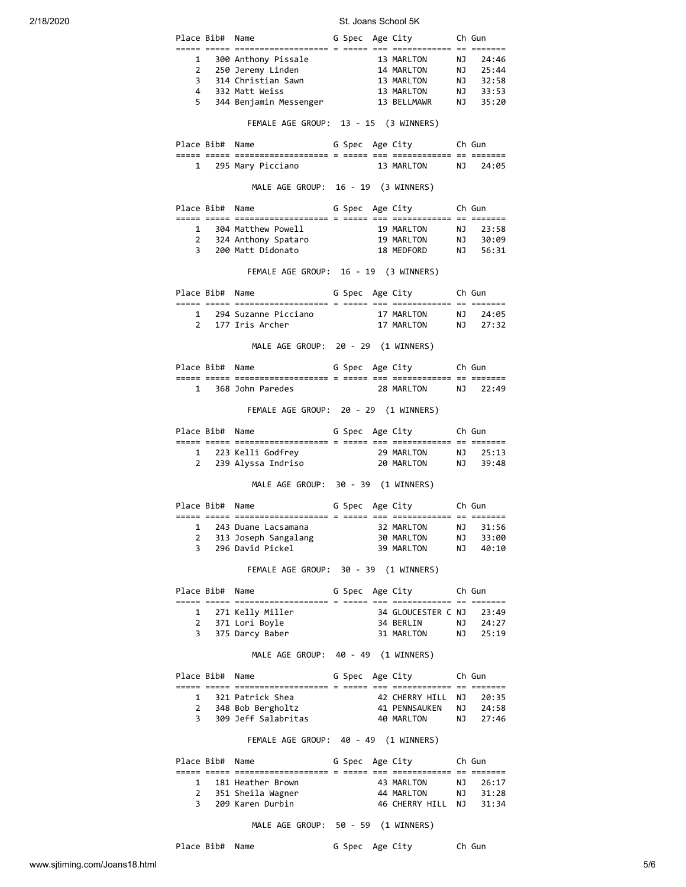|   |                 | Place Bib# Name                            | G Spec Age City Ch Gun                                                                                                                                               |           |          |
|---|-----------------|--------------------------------------------|----------------------------------------------------------------------------------------------------------------------------------------------------------------------|-----------|----------|
|   |                 |                                            |                                                                                                                                                                      |           |          |
|   |                 |                                            |                                                                                                                                                                      |           |          |
|   |                 |                                            |                                                                                                                                                                      |           |          |
|   |                 |                                            |                                                                                                                                                                      |           |          |
|   |                 |                                            | 1 300 Anthony Pissale<br>2 250 Jeremy Linden<br>3 314 Christian Sawn<br>4 332 Matt Weiss<br>4 332 Matt Weiss<br>5 344 Benjamin Messenger<br>4 36 BELLMAWR<br>4 35:20 |           |          |
|   |                 |                                            | FEMALE AGE GROUP: 13 - 15 (3 WINNERS)                                                                                                                                |           |          |
|   |                 | Place Bib# Name                            | G Spec Age City Ch Gun                                                                                                                                               |           |          |
|   |                 | 1 295 Mary Picciano                        | 13 MARLTON NJ 24:05                                                                                                                                                  |           |          |
|   |                 |                                            | MALE AGE GROUP: 16 - 19 (3 WINNERS)                                                                                                                                  |           |          |
|   |                 | Place Bib# Name                            | G Spec Age City Ch Gun                                                                                                                                               |           |          |
|   |                 | 1 304 Matthew Powell                       |                                                                                                                                                                      |           |          |
|   |                 |                                            |                                                                                                                                                                      |           |          |
|   |                 |                                            | 1 304 Matthew Powell 19 MARLTON NJ 23:58<br>2 324 Anthony Spataro 19 MARLTON NJ 30:09<br>3 200 Matt Didonato 18 MEDFORD NJ 56:31                                     |           |          |
|   |                 |                                            | FEMALE AGE GROUP: 16 - 19 (3 WINNERS)                                                                                                                                |           |          |
|   |                 | Place Bib# Name                            | G Spec Age City Ch Gun                                                                                                                                               |           |          |
|   |                 |                                            |                                                                                                                                                                      |           |          |
|   |                 |                                            |                                                                                                                                                                      |           |          |
|   |                 |                                            | MALE AGE GROUP: 20 - 29 (1 WINNERS)                                                                                                                                  |           |          |
|   |                 |                                            | Place Bib# Name 6 Spec Age City 6 Gun                                                                                                                                |           |          |
|   |                 |                                            | 1 368 John Paredes 28 MARLTON NJ 22:49                                                                                                                               |           |          |
|   |                 |                                            | FEMALE AGE GROUP: 20 - 29 (1 WINNERS)                                                                                                                                |           |          |
|   |                 |                                            | Place Bib# Name 6 Spec Age City 6 Gun                                                                                                                                |           |          |
|   |                 |                                            |                                                                                                                                                                      |           |          |
|   |                 |                                            |                                                                                                                                                                      |           |          |
|   |                 |                                            | MALE AGE GROUP: 30 - 39 (1 WINNERS)                                                                                                                                  |           |          |
|   |                 |                                            | Place Bib# Name 6 Spec Age City 6 Gun                                                                                                                                |           |          |
|   |                 |                                            |                                                                                                                                                                      |           |          |
| 2 |                 | 313 Joseph Sangalang                       | 1 243 Duane Lacsamana<br>32 MARLTON NJ 31:56<br>30 MARLTON                                                                                                           |           | 33:00    |
| 3 |                 | 296 David Pickel                           | 39 MARLTON                                                                                                                                                           | <b>NJ</b> | NJ 40:10 |
|   |                 |                                            | FEMALE AGE GROUP: 30 - 39 (1 WINNERS)                                                                                                                                |           |          |
|   | Place Bib# Name |                                            | G Spec Age City Ch Gun                                                                                                                                               |           |          |
|   |                 | 1 271 Kelly Miller                         | 34 GLOUCESTER C NJ                                                                                                                                                   |           | 23:49    |
|   |                 | 2 371 Lori Boyle                           |                                                                                                                                                                      |           |          |
|   |                 | 3 375 Darcy Baber                          | 34 BERLIN NJ 24:27<br>31 MARLTON NJ 25:19                                                                                                                            |           |          |
|   |                 |                                            | MALE AGE GROUP: 40 - 49 (1 WINNERS)                                                                                                                                  |           |          |
|   | Place Bib# Name |                                            | G Spec Age City                                                                                                                                                      |           | Ch Gun   |
|   |                 | 1 321 Patrick Shea                         |                                                                                                                                                                      |           |          |
|   |                 | 2 348 Bob Bergholtz                        | 42 CHERRY HILL NJ   20:35<br>41 PENNSAUKEN   NJ   24:58                                                                                                              |           |          |
|   |                 | 3 309 Jeff Salabritas                      | 40 MARLTON                                                                                                                                                           |           | NJ 27:46 |
|   |                 |                                            | FEMALE AGE GROUP: 40 - 49 (1 WINNERS)                                                                                                                                |           |          |
|   |                 | Place Bib# Name                            | G Spec Age City Ch Gun                                                                                                                                               |           |          |
|   |                 |                                            | 43 MARLTON NJ 26:17                                                                                                                                                  |           |          |
|   |                 | 1 181 Heather Brown<br>2 351 Sheila Wagner | 44 MARLTON                                                                                                                                                           |           |          |
|   |                 | 3 209 Karen Durbin                         |                                                                                                                                                                      |           |          |
|   |                 |                                            | MALE AGE GROUP: 50 - 59 (1 WINNERS)                                                                                                                                  |           |          |

Place Bib# Name G Spec Age City Ch Gun